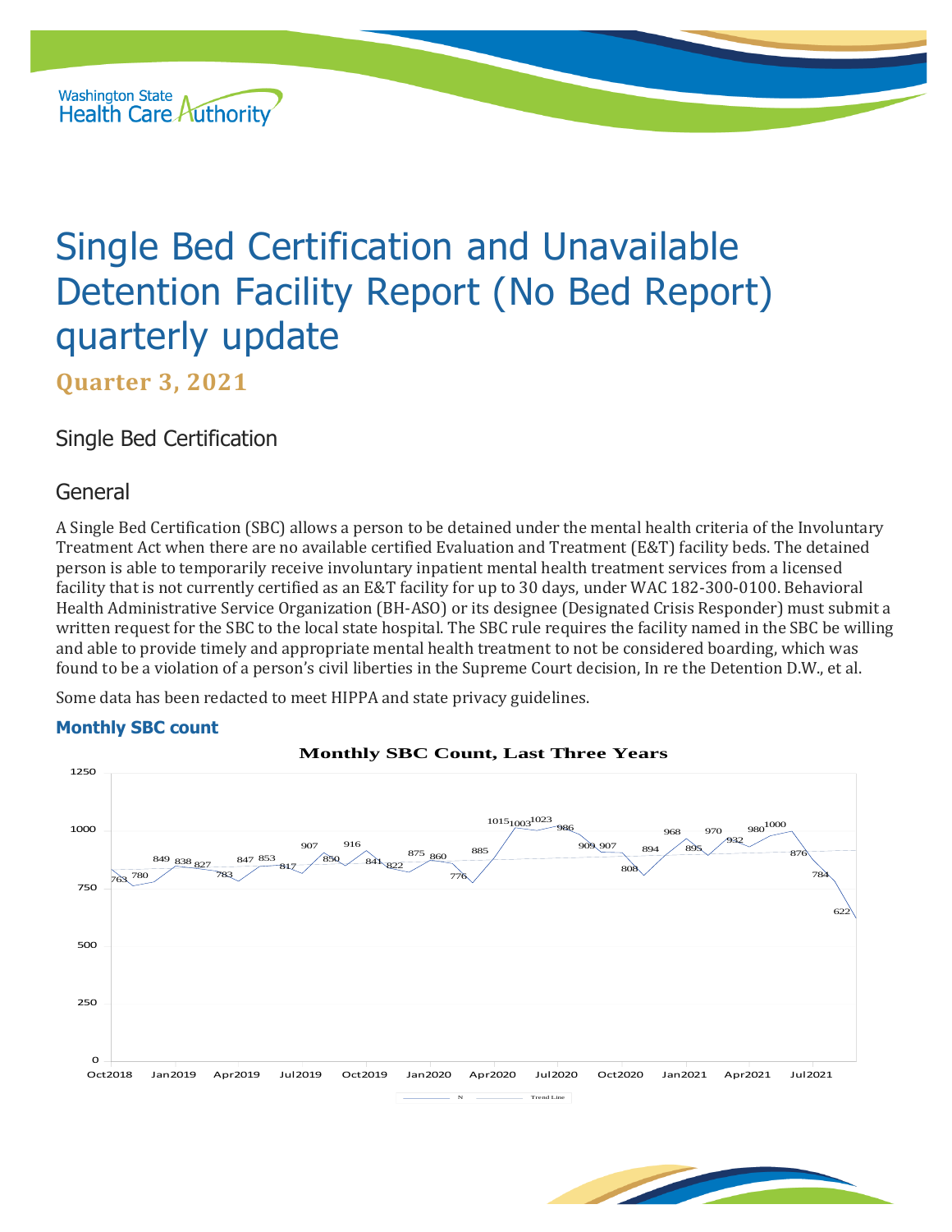

# Single Bed Certification and Unavailable Detention Facility Report (No Bed Report) quarterly update

**Quarter 3, 2021**

Single Bed Certification

## General

A Single Bed Certification (SBC) allows a person to be detained under the mental health criteria of the Involuntary Treatment Act when there are no available certified Evaluation and Treatment (E&T) facility beds. The detained person is able to temporarily receive involuntary inpatient mental health treatment services from a licensed facility that is not currently certified as an E&T facility for up to 30 days, under WAC 182-300-0100. Behavioral Health Administrative Service Organization (BH-ASO) or its designee (Designated Crisis Responder) must submit a written request for the SBC to the local state hospital. The SBC rule requires the facility named in the SBC be willing and able to provide timely and appropriate mental health treatment to not be considered boarding, which was found to be a violation of a person's civil liberties in the Supreme Court decision, In re the Detention D.W., et al.

Some data has been redacted to meet HIPPA and state privacy guidelines.

#### **Monthly SBC count**



**Monthly SBC Count, Last Three Years**

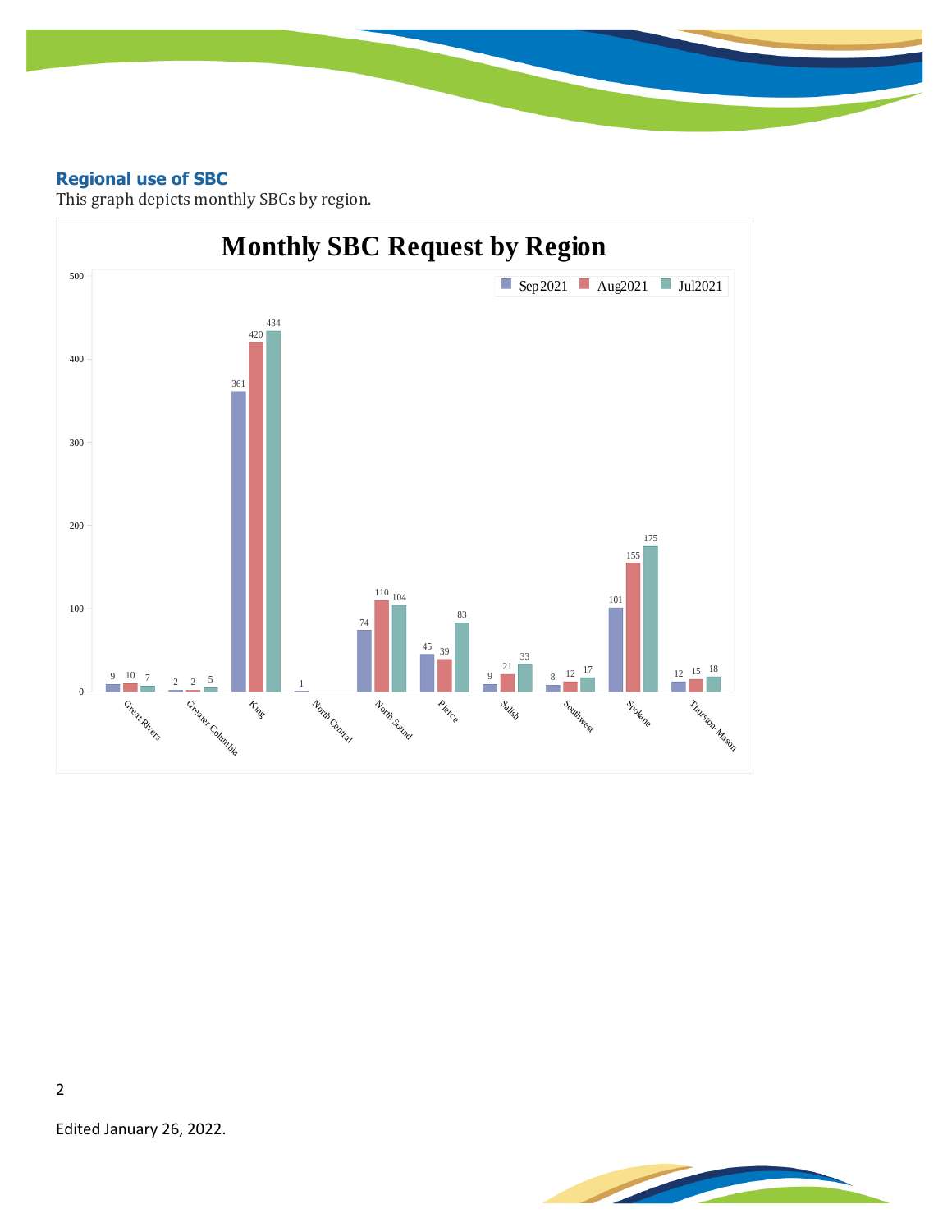#### **Regional use of SBC**

This graph depicts monthly SBCs by region.



**STEAMERS** 

Edited January 26, 2022.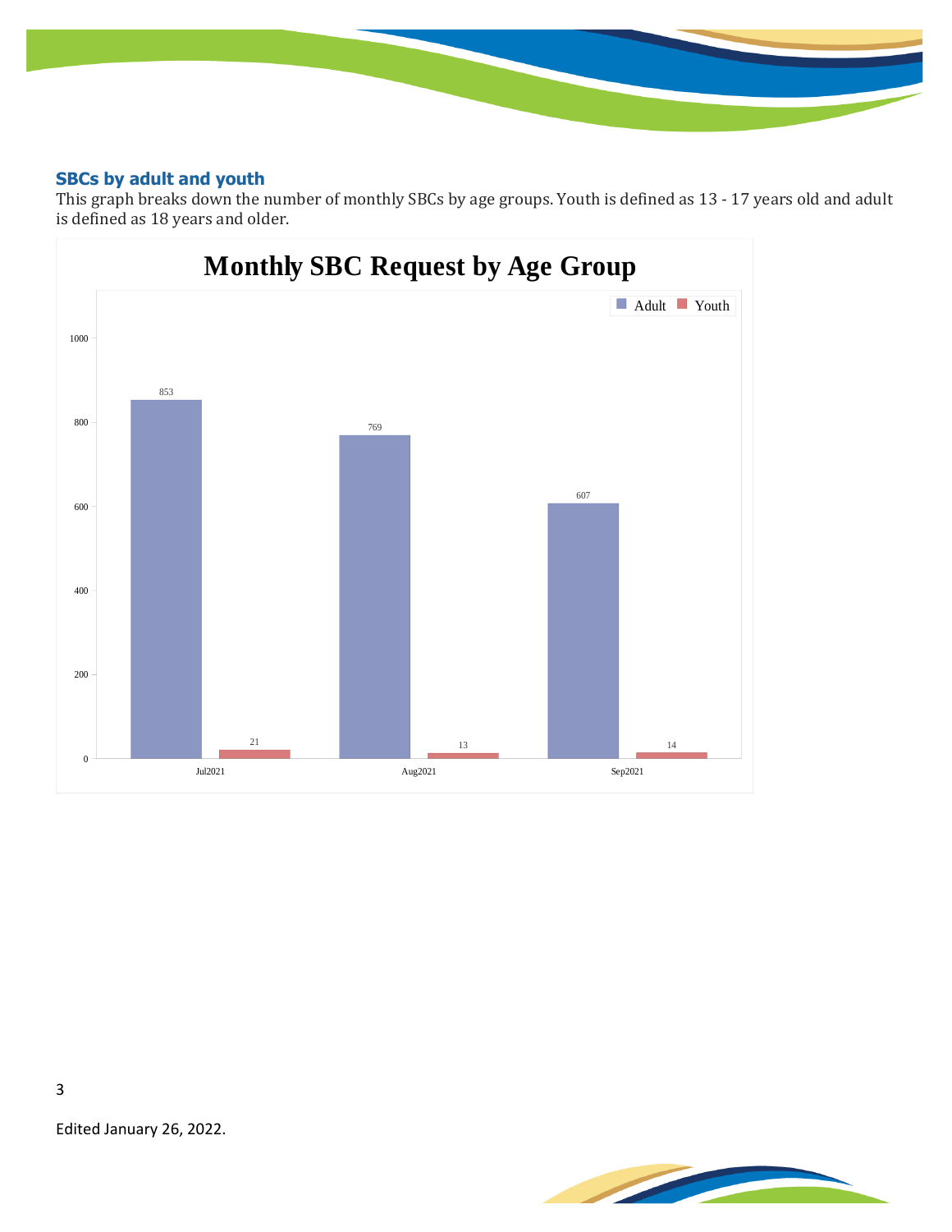#### **SBCs by adult and youth**

This graph breaks down the number of monthly SBCs by age groups. Youth is defined as 13 - 17 years old and adult is defined as 18 years and older.





Edited January 26, 2022.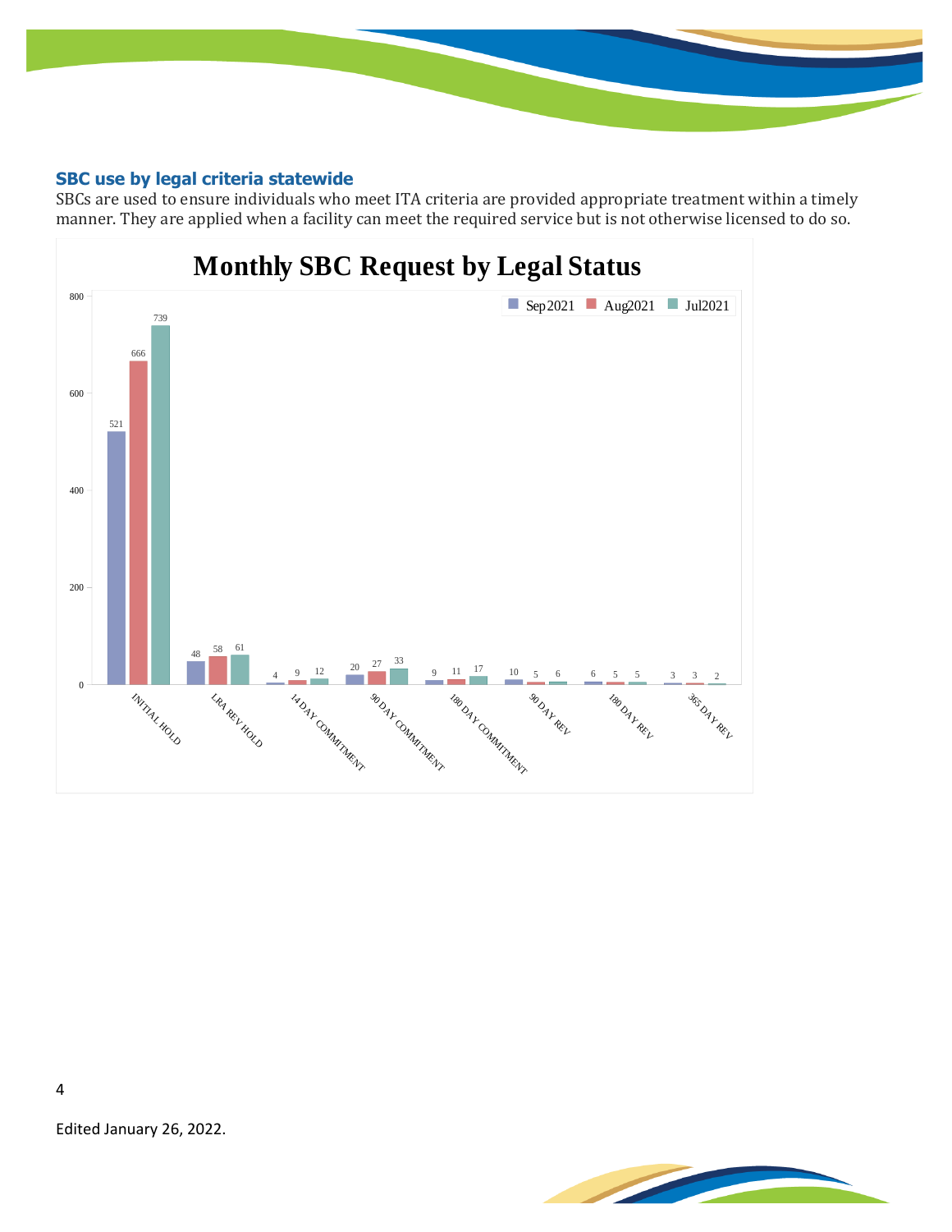#### **SBC use by legal criteria statewide**

SBCs are used to ensure individuals who meet ITA criteria are provided appropriate treatment within a timely manner. They are applied when a facility can meet the required service but is not otherwise licensed to do so.



Edited January 26, 2022.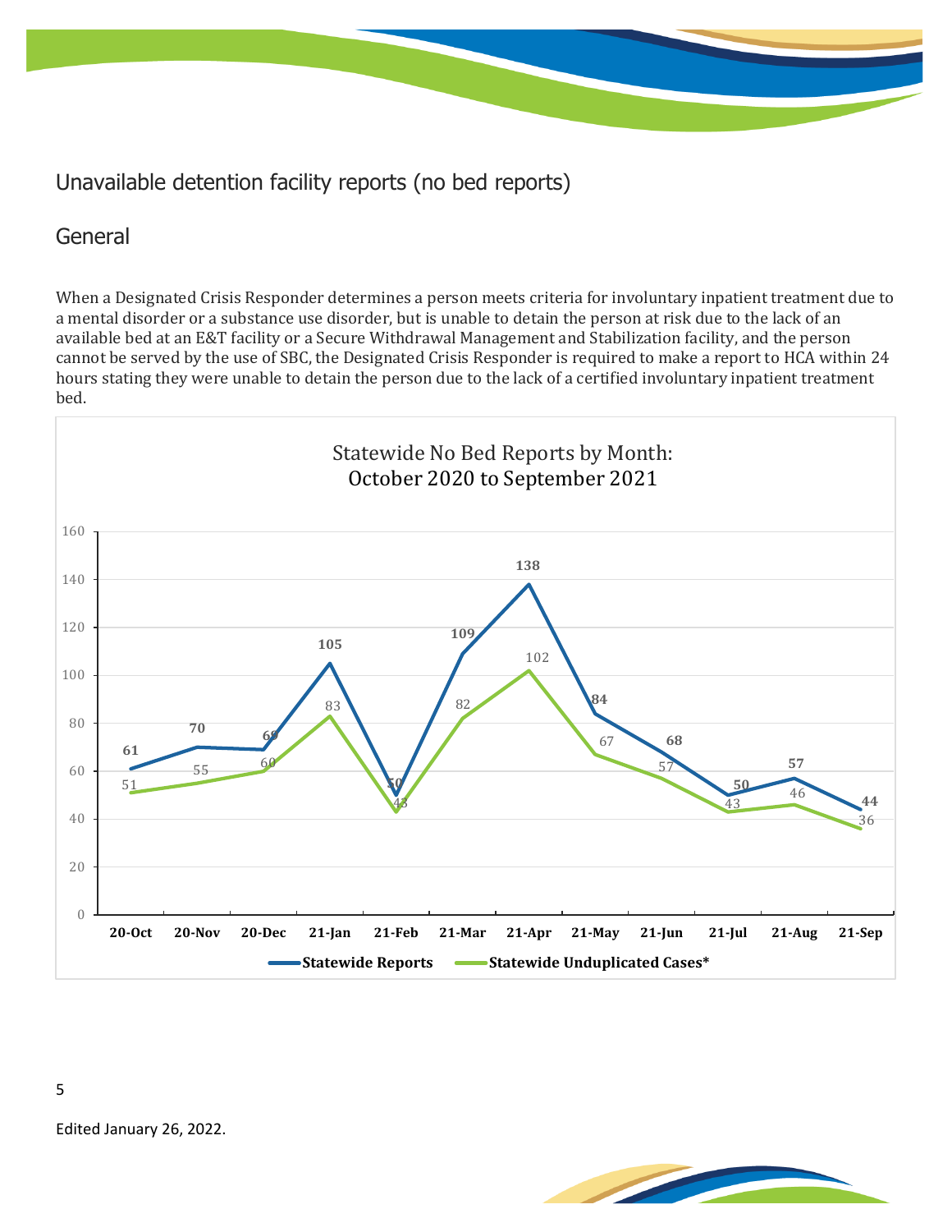# Unavailable detention facility reports (no bed reports)

## General

When a Designated Crisis Responder determines a person meets criteria for involuntary inpatient treatment due to a mental disorder or a substance use disorder, but is unable to detain the person at risk due to the lack of an available bed at an E&T facility or a Secure Withdrawal Management and Stabilization facility, and the person cannot be served by the use of SBC, the Designated Crisis Responder is required to make a report to HCA within 24 hours stating they were unable to detain the person due to the lack of a certified involuntary inpatient treatment bed.



Edited January 26, 2022.

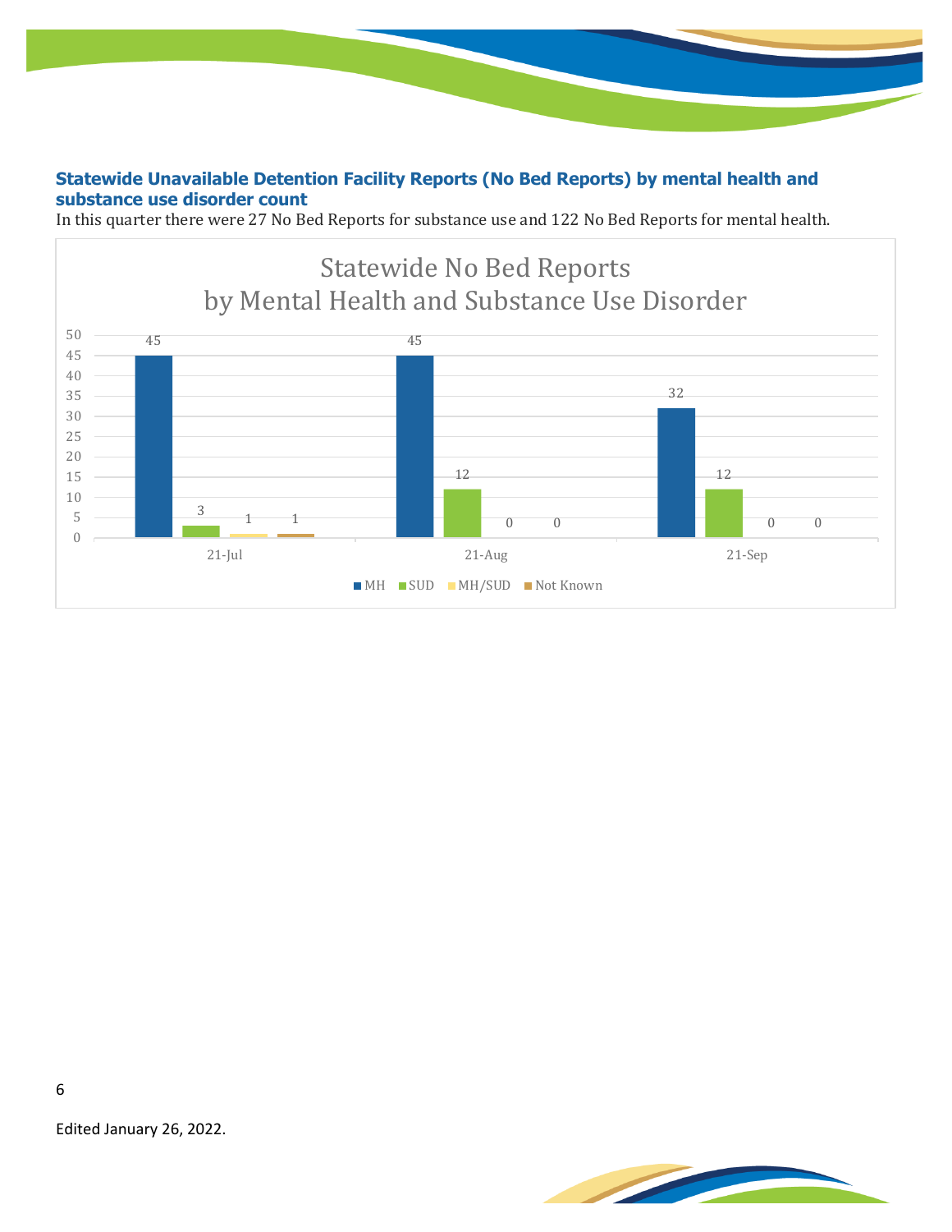**Statewide Unavailable Detention Facility Reports (No Bed Reports) by mental health and substance use disorder count**

In this quarter there were 27 No Bed Reports for substance use and 122 No Bed Reports for mental health.





Edited January 26, 2022.